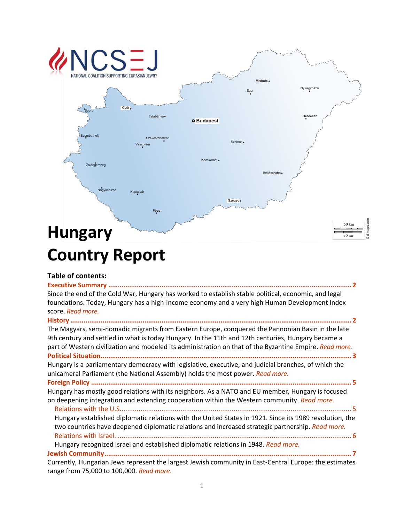

# **Table of contents:**

| Since the end of the Cold War, Hungary has worked to establish stable political, economic, and legal<br>foundations. Today, Hungary has a high-income economy and a very high Human Development Index<br>score. Read more. |
|----------------------------------------------------------------------------------------------------------------------------------------------------------------------------------------------------------------------------|
| The Magyars, semi-nomadic migrants from Eastern Europe, conquered the Pannonian Basin in the late                                                                                                                          |
| 9th century and settled in what is today Hungary. In the 11th and 12th centuries, Hungary became a<br>part of Western civilization and modeled its administration on that of the Byzantine Empire. Read more.              |
| Hungary is a parliamentary democracy with legislative, executive, and judicial branches, of which the<br>unicameral Parliament (the National Assembly) holds the most power. Read more.                                    |
|                                                                                                                                                                                                                            |
| Hungary has mostly good relations with its neighbors. As a NATO and EU member, Hungary is focused<br>on deepening integration and extending cooperation within the Western community. Read more.                           |
| Hungary established diplomatic relations with the United States in 1921. Since its 1989 revolution, the<br>two countries have deepened diplomatic relations and increased strategic partnership. Read more.                |

Hungary recognized Israel and established diplomatic relations in 1948. *Read more.*

**Jewish Community.................................................................................................................................. 7** Currently, Hungarian Jews represent the largest Jewish community in East-Central Europe: the estimates range from 75,000 to 100,000. *Read more.*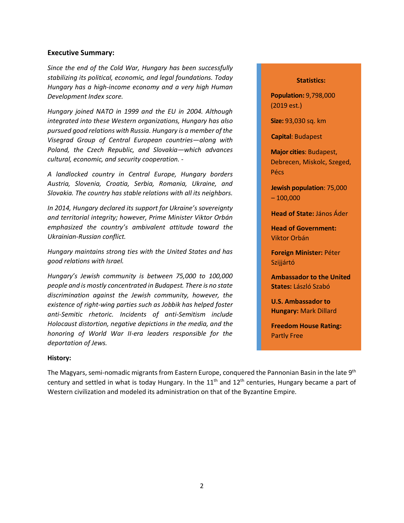#### **Executive Summary:**

*Since the end of the Cold War, Hungary has been successfully stabilizing its political, economic, and legal foundations. Today Hungary has a high-income economy and a very high Human Development Index score.*

*Hungary joined NATO in 1999 and the EU in 2004. Although integrated into these Western organizations, Hungary has also pursued good relations with Russia. Hungary is a member of the Visegrad Group of Central European countries—along with Poland, the Czech Republic, and Slovakia—which advances cultural, economic, and security cooperation. -*

*A landlocked country in Central Europe, Hungary borders Austria, Slovenia, Croatia, Serbia, Romania, Ukraine, and Slovakia. The country has stable relations with all its neighbors.* 

*In 2014, Hungary declared its support for Ukraine's sovereignty and territorial integrity; however, Prime Minister Viktor Orbán emphasized the country's ambivalent attitude toward the Ukrainian-Russian conflict.*

*Hungary maintains strong ties with the United States and has good relations with Israel.* 

*Hungary's Jewish community is between 75,000 to 100,000 people and is mostly concentrated in Budapest. There is no state discrimination against the Jewish community, however, the existence of right-wing parties such as Jobbik has helped foster anti-Semitic rhetoric. Incidents of anti-Semitism include Holocaust distortion, negative depictions in the media, and the honoring of World War II-era leaders responsible for the deportation of Jews.*

#### **Statistics:**

**Population:** 9,798,000 (2019 est.)

**Size:** 93,030 sq. km

**Capital**: Budapest

**Major cities**: Budapest, Debrecen, Miskolc, Szeged, Pécs

**Jewish population**: 75,000  $-100,000$ 

**Head of State:** János Áder

**Head of Government:** Viktor Orbán

**Foreign Minister:** Péter Szijjártó

**Ambassador to the United States:** László Szabó

**U.S. Ambassador to Hungary:** Mark Dillard

**Freedom House Rating:**  Partly Free

#### **History:**

The Magyars, semi-nomadic migrants from Eastern Europe, conquered the Pannonian Basin in the late 9<sup>th</sup> century and settled in what is today Hungary. In the  $11<sup>th</sup>$  and  $12<sup>th</sup>$  centuries, Hungary became a part of Western civilization and modeled its administration on that of the Byzantine Empire.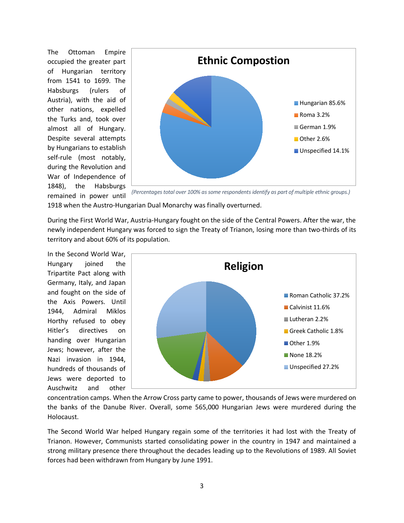The Ottoman Empire occupied the greater part of Hungarian territory from 1541 to 1699. The Habsburgs (rulers of Austria), with the aid of other nations, expelled the Turks and, took over almost all of Hungary. Despite several attempts by Hungarians to establish self-rule (most notably, during the Revolution and War of Independence of 1848), the Habsburgs remained in power until



*(Percentages total over 100% as some respondents identify as part of multiple ethnic groups.)*

1918 when the Austro-Hungarian Dual Monarchy was finally overturned.

During the First World War, Austria-Hungary fought on the side of the Central Powers. After the war, the newly independent Hungary was forced to sign the Treaty of Trianon, losing more than two-thirds of its territory and about 60% of its population.

In the Second World War, Hungary joined the Tripartite Pact along with Germany, Italy, and Japan and fought on the side of the Axis Powers. Until 1944, Admiral Miklos Horthy refused to obey Hitler's directives on handing over Hungarian Jews; however, after the Nazi invasion in 1944, hundreds of thousands of Jews were deported to Auschwitz and other



concentration camps. When the Arrow Cross party came to power, thousands of Jews were murdered on the banks of the Danube River. Overall, some 565,000 Hungarian Jews were murdered during the Holocaust.

The Second World War helped Hungary regain some of the territories it had lost with the Treaty of Trianon. However, Communists started consolidating power in the country in 1947 and maintained a strong military presence there throughout the decades leading up to the Revolutions of 1989. All Soviet forces had been withdrawn from Hungary by June 1991.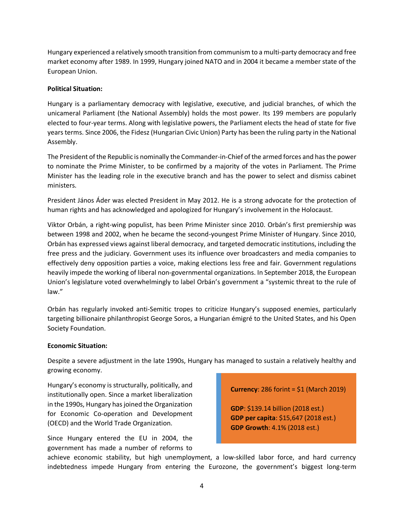Hungary experienced a relatively smooth transition from communism to a multi-party democracy and free market economy after 1989. In 1999, Hungary joined NATO and in 2004 it became a member state of the European Union.

### **Political Situation:**

Hungary is a parliamentary democracy with legislative, executive, and judicial branches, of which the unicameral Parliament (the National Assembly) holds the most power. Its 199 members are popularly elected to four-year terms. Along with legislative powers, the Parliament elects the head of state for five years terms. Since 2006, the Fidesz (Hungarian Civic Union) Party has been the ruling party in the National Assembly.

The President of the Republic is nominally the Commander-in-Chief of the armed forces and has the power to nominate the Prime Minister, to be confirmed by a majority of the votes in Parliament. The Prime Minister has the leading role in the executive branch and has the power to select and dismiss cabinet ministers.

President János Áder was elected President in May 2012. He is a strong advocate for the protection of human rights and has acknowledged and apologized for Hungary's involvement in the Holocaust.

Viktor Orbán, a right-wing populist, has been Prime Minister since 2010. Orbán's first premiership was between 1998 and 2002, when he became the second-youngest Prime Minister of Hungary. Since 2010, Orbán has expressed views against liberal democracy, and targeted democratic institutions, including the free press and the judiciary. Government uses its influence over broadcasters and media companies to effectively deny opposition parties a voice, making elections less free and fair. Government regulations heavily impede the working of liberal non-governmental organizations. In September 2018, the European Union's legislature voted overwhelmingly to label Orbán's government a "systemic threat to the rule of law."

Orbán has regularly invoked anti-Semitic tropes to criticize Hungary's supposed enemies, particularly targeting billionaire philanthropist George Soros, a Hungarian émigré to the United States, and his Open Society Foundation.

### **Economic Situation:**

Despite a severe adjustment in the late 1990s, Hungary has managed to sustain a relatively healthy and growing economy.

Hungary's economy is structurally, politically, and institutionally open. Since a market liberalization in the 1990s, Hungary has joined the Organization for Economic Co-operation and Development (OECD) and the World Trade Organization.

Since Hungary entered the EU in 2004, the government has made a number of reforms to

**Currency**: 286 forint = \$1 (March 2019)

**GDP**: \$139.14 billion (2018 est.) **GDP per capita**: \$15,647 (2018 est.) **GDP Growth**: 4.1% (2018 est.)

achieve economic stability, but high unemployment, a low-skilled labor force, and hard currency indebtedness impede Hungary from entering the Eurozone, the government's biggest long-term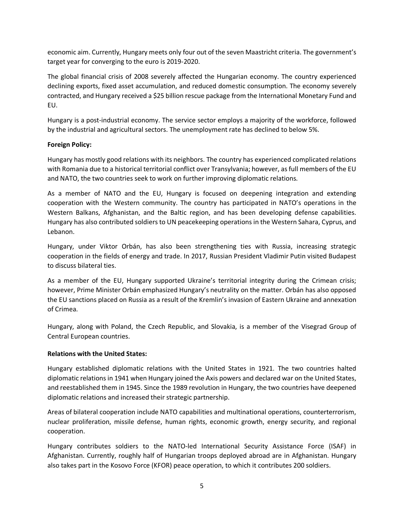economic aim. Currently, Hungary meets only four out of the seven Maastricht criteria. The government's target year for converging to the euro is 2019-2020.

The global financial crisis of 2008 severely affected the Hungarian economy. The country experienced declining exports, fixed asset accumulation, and reduced domestic consumption. The economy severely contracted, and Hungary received a \$25 billion rescue package from the International Monetary Fund and EU.

Hungary is a post-industrial economy. The service sector employs a majority of the workforce, followed by the industrial and agricultural sectors. The unemployment rate has declined to below 5%.

### **Foreign Policy:**

Hungary has mostly good relations with its neighbors. The country has experienced complicated relations with Romania due to a historical territorial conflict over Transylvania; however, as full members of the EU and NATO, the two countries seek to work on further improving diplomatic relations.

As a member of NATO and the EU, Hungary is focused on deepening integration and extending cooperation with the Western community. The country has participated in NATO's operations in the Western Balkans, Afghanistan, and the Baltic region, and has been developing defense capabilities. Hungary has also contributed soldiers to UN peacekeeping operations in the Western Sahara, Cyprus, and Lebanon.

Hungary, under Viktor Orbán, has also been strengthening ties with Russia, increasing strategic cooperation in the fields of energy and trade. In 2017, Russian President Vladimir Putin visited Budapest to discuss bilateral ties.

As a member of the EU, Hungary supported Ukraine's territorial integrity during the Crimean crisis; however, Prime Minister Orbán emphasized Hungary's neutrality on the matter. Orbán has also opposed the EU sanctions placed on Russia as a result of the Kremlin's invasion of Eastern Ukraine and annexation of Crimea.

Hungary, along with Poland, the Czech Republic, and Slovakia, is a member of the Visegrad Group of Central European countries.

### **Relations with the United States:**

Hungary established diplomatic relations with the United States in 1921. The two countries halted diplomatic relations in 1941 when Hungary joined the Axis powers and declared war on the United States, and reestablished them in 1945. Since the 1989 revolution in Hungary, the two countries have deepened diplomatic relations and increased their strategic partnership.

Areas of bilateral cooperation include NATO capabilities and multinational operations, counterterrorism, nuclear proliferation, missile defense, human rights, economic growth, energy security, and regional cooperation.

Hungary contributes soldiers to the NATO-led International Security Assistance Force (ISAF) in Afghanistan. Currently, roughly half of Hungarian troops deployed abroad are in Afghanistan. Hungary also takes part in the Kosovo Force (KFOR) peace operation, to which it contributes 200 soldiers.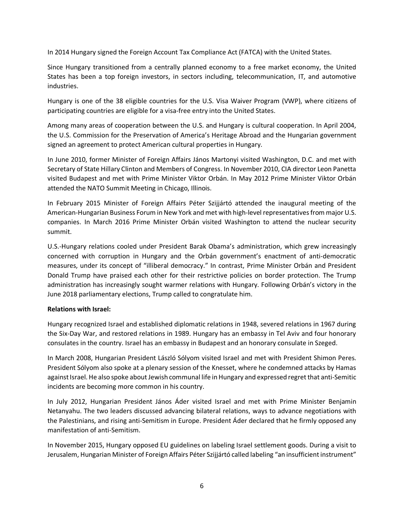In 2014 Hungary signed the Foreign Account Tax Compliance Act (FATCA) with the United States.

Since Hungary transitioned from a centrally planned economy to a free market economy, the United States has been a top foreign investors, in sectors including, telecommunication, IT, and automotive industries.

Hungary is one of the 38 eligible countries for the U.S. Visa Waiver Program (VWP), where citizens of participating countries are eligible for a visa-free entry into the United States.

Among many areas of cooperation between the U.S. and Hungary is cultural cooperation. In April 2004, the U.S. Commission for the Preservation of America's Heritage Abroad and the Hungarian government signed an agreement to protect American cultural properties in Hungary.

In June 2010, former Minister of Foreign Affairs János Martonyi visited Washington, D.C. and met with Secretary of State Hillary Clinton and Members of Congress. In November 2010, CIA director Leon Panetta visited Budapest and met with Prime Minister Viktor Orbán. In May 2012 Prime Minister Viktor Orbán attended the NATO Summit Meeting in Chicago, Illinois.

In February 2015 Minister of Foreign Affairs Péter Szijjártó attended the inaugural meeting of the American-Hungarian Business Forum in New York and met with high-level representatives from major U.S. companies. In March 2016 Prime Minister Orbán visited Washington to attend the nuclear security summit.

U.S.-Hungary relations cooled under President Barak Obama's administration, which grew increasingly concerned with corruption in Hungary and the Orbán government's enactment of anti-democratic measures, under its concept of "illiberal democracy." In contrast, Prime Minister Orbán and President Donald Trump have praised each other for their restrictive policies on border protection. The Trump administration has increasingly sought warmer relations with Hungary. Following Orbán's victory in the June 2018 parliamentary elections, Trump called to congratulate him.

### **Relations with Israel:**

Hungary recognized Israel and established diplomatic relations in 1948, severed relations in 1967 during the Six-Day War, and restored relations in 1989. Hungary has an embassy in Tel Aviv and four honorary consulates in the country. Israel has an embassy in Budapest and an honorary consulate in Szeged.

In March 2008, Hungarian President László Sólyom visited Israel and met with President Shimon Peres. President Sólyom also spoke at a plenary session of the Knesset, where he condemned attacks by Hamas against Israel. He also spoke about Jewish communal life in Hungary and expressed regret that anti-Semitic incidents are becoming more common in his country.

In July 2012, Hungarian President János Áder visited Israel and met with Prime Minister Benjamin Netanyahu. The two leaders discussed advancing bilateral relations, ways to advance negotiations with the Palestinians, and rising anti-Semitism in Europe. President Áder declared that he firmly opposed any manifestation of anti-Semitism.

In November 2015, Hungary opposed EU guidelines on labeling Israel settlement goods. During a visit to Jerusalem, Hungarian Minister of Foreign Affairs Péter Szijjártó called labeling "an insufficient instrument"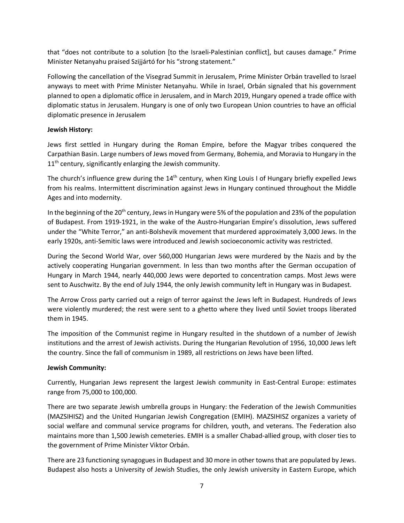that "does not contribute to a solution [to the Israeli-Palestinian conflict], but causes damage." Prime Minister Netanyahu praised Szijjártó for his "strong statement."

Following the cancellation of the Visegrad Summit in Jerusalem, Prime Minister Orbán travelled to Israel anyways to meet with Prime Minister Netanyahu. While in Israel, Orbán signaled that his government planned to open a diplomatic office in Jerusalem, and in March 2019, Hungary opened a trade office with diplomatic status in Jerusalem. Hungary is one of only two European Union countries to have an official diplomatic presence in Jerusalem

### **Jewish History:**

Jews first settled in Hungary during the Roman Empire, before the Magyar tribes conquered the Carpathian Basin. Large numbers of Jews moved from Germany, Bohemia, and Moravia to Hungary in the  $11<sup>th</sup>$  century, significantly enlarging the Jewish community.

The church's influence grew during the  $14<sup>th</sup>$  century, when King Louis I of Hungary briefly expelled Jews from his realms. Intermittent discrimination against Jews in Hungary continued throughout the Middle Ages and into modernity.

In the beginning of the 20<sup>th</sup> century, Jews in Hungary were 5% of the population and 23% of the population of Budapest. From 1919-1921, in the wake of the Austro-Hungarian Empire's dissolution, Jews suffered under the "White Terror," an anti-Bolshevik movement that murdered approximately 3,000 Jews. In the early 1920s, anti-Semitic laws were introduced and Jewish socioeconomic activity was restricted.

During the Second World War, over 560,000 Hungarian Jews were murdered by the Nazis and by the actively cooperating Hungarian government. In less than two months after the German occupation of Hungary in March 1944, nearly 440,000 Jews were deported to concentration camps. Most Jews were sent to Auschwitz. By the end of July 1944, the only Jewish community left in Hungary was in Budapest.

The Arrow Cross party carried out a reign of terror against the Jews left in Budapest. Hundreds of Jews were violently murdered; the rest were sent to a ghetto where they lived until Soviet troops liberated them in 1945.

The imposition of the Communist regime in Hungary resulted in the shutdown of a number of Jewish institutions and the arrest of Jewish activists. During the Hungarian Revolution of 1956, 10,000 Jews left the country. Since the fall of communism in 1989, all restrictions on Jews have been lifted.

## **Jewish Community:**

Currently, Hungarian Jews represent the largest Jewish community in East-Central Europe: estimates range from 75,000 to 100,000.

There are two separate Jewish umbrella groups in Hungary: the Federation of the Jewish Communities (MAZSIHISZ) and the United Hungarian Jewish Congregation (EMIH). MAZSIHISZ organizes a variety of social welfare and communal service programs for children, youth, and veterans. The Federation also maintains more than 1,500 Jewish cemeteries. EMIH is a smaller Chabad-allied group, with closer ties to the government of Prime Minister Viktor Orbán.

There are 23 functioning synagogues in Budapest and 30 more in other towns that are populated by Jews. Budapest also hosts a University of Jewish Studies, the only Jewish university in Eastern Europe, which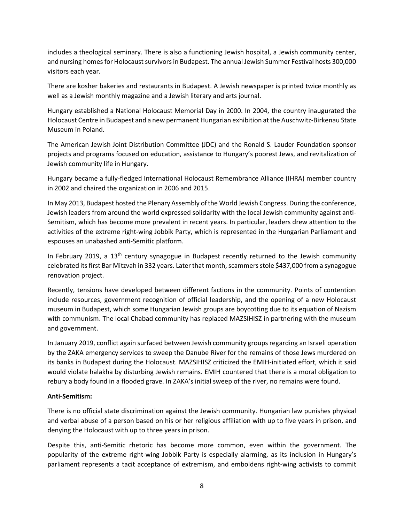includes a theological seminary. There is also a functioning Jewish hospital, a Jewish community center, and nursing homes for Holocaust survivors in Budapest. The annual Jewish Summer Festival hosts 300,000 visitors each year.

There are kosher bakeries and restaurants in Budapest. A Jewish newspaper is printed twice monthly as well as a Jewish monthly magazine and a Jewish literary and arts journal.

Hungary established a National Holocaust Memorial Day in 2000. In 2004, the country inaugurated the Holocaust Centre in Budapest and a new permanent Hungarian exhibition at the Auschwitz-Birkenau State Museum in Poland.

The American Jewish Joint Distribution Committee (JDC) and the Ronald S. Lauder Foundation sponsor projects and programs focused on education, assistance to Hungary's poorest Jews, and revitalization of Jewish community life in Hungary.

Hungary became a fully-fledged International Holocaust Remembrance Alliance (IHRA) member country in 2002 and chaired the organization in 2006 and 2015.

In May 2013, Budapest hosted the Plenary Assembly of the World Jewish Congress. During the conference, Jewish leaders from around the world expressed solidarity with the local Jewish community against anti-Semitism, which has become more prevalent in recent years. In particular, leaders drew attention to the activities of the extreme right-wing Jobbik Party, which is represented in the Hungarian Parliament and espouses an unabashed anti-Semitic platform.

In February 2019, a 13<sup>th</sup> century synagogue in Budapest recently returned to the Jewish community celebrated its first Bar Mitzvah in 332 years. Laterthat month, scammers stole \$437,000 from a synagogue renovation project.

Recently, tensions have developed between different factions in the community. Points of contention include resources, government recognition of official leadership, and the opening of a new Holocaust museum in Budapest, which some Hungarian Jewish groups are boycotting due to its equation of Nazism with communism. The local Chabad community has replaced MAZSIHISZ in partnering with the museum and government.

In January 2019, conflict again surfaced between Jewish community groups regarding an Israeli operation by the ZAKA emergency services to sweep the Danube River for the remains of those Jews murdered on its banks in Budapest during the Holocaust. MAZSIHISZ criticized the EMIH-initiated effort, which it said would violate halakha by disturbing Jewish remains. EMIH countered that there is a moral obligation to rebury a body found in a flooded grave. In ZAKA's initial sweep of the river, no remains were found.

### **Anti-Semitism:**

There is no official state discrimination against the Jewish community. Hungarian law punishes physical and verbal abuse of a person based on his or her religious affiliation with up to five years in prison, and denying the Holocaust with up to three years in prison.

Despite this, anti-Semitic rhetoric has become more common, even within the government. The popularity of the extreme right-wing Jobbik Party is especially alarming, as its inclusion in Hungary's parliament represents a tacit acceptance of extremism, and emboldens right-wing activists to commit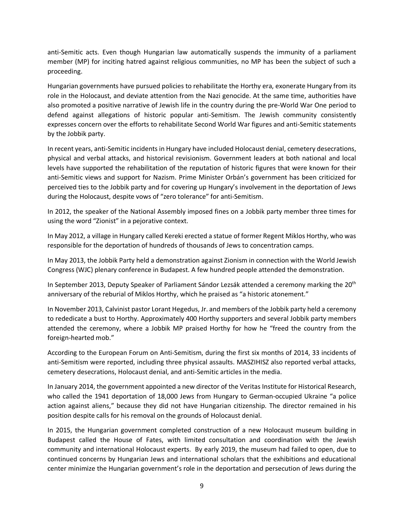anti-Semitic acts. Even though Hungarian law automatically suspends the immunity of a parliament member (MP) for inciting hatred against religious communities, no MP has been the subject of such a proceeding.

Hungarian governments have pursued policies to rehabilitate the Horthy era, exonerate Hungary from its role in the Holocaust, and deviate attention from the Nazi genocide. At the same time, authorities have also promoted a positive narrative of Jewish life in the country during the pre-World War One period to defend against allegations of historic popular anti-Semitism. The Jewish community consistently expresses concern over the efforts to rehabilitate Second World War figures and anti-Semitic statements by the Jobbik party.

In recent years, anti-Semitic incidents in Hungary have included Holocaust denial, cemetery desecrations, physical and verbal attacks, and historical revisionism. Government leaders at both national and local levels have supported the rehabilitation of the reputation of historic figures that were known for their anti-Semitic views and support for Nazism. Prime Minister Orbán's government has been criticized for perceived ties to the Jobbik party and for covering up Hungary's involvement in the deportation of Jews during the Holocaust, despite vows of "zero tolerance" for anti-Semitism.

In 2012, the speaker of the National Assembly imposed fines on a Jobbik party member three times for using the word "Zionist" in a pejorative context.

In May 2012, a village in Hungary called Kereki erected a statue of former Regent Miklos Horthy, who was responsible for the deportation of hundreds of thousands of Jews to concentration camps.

In May 2013, the Jobbik Party held a demonstration against Zionism in connection with the World Jewish Congress (WJC) plenary conference in Budapest. A few hundred people attended the demonstration.

In September 2013, Deputy Speaker of Parliament Sándor Lezsák attended a ceremony marking the 20<sup>th</sup> anniversary of the reburial of Miklos Horthy, which he praised as "a historic atonement."

In November 2013, Calvinist pastor Lorant Hegedus, Jr. and members of the Jobbik party held a ceremony to rededicate a bust to Horthy. Approximately 400 Horthy supporters and several Jobbik party members attended the ceremony, where a Jobbik MP praised Horthy for how he "freed the country from the foreign-hearted mob."

According to the European Forum on Anti-Semitism, during the first six months of 2014, 33 incidents of anti-Semitism were reported, including three physical assaults. MASZIHISZ also reported verbal attacks, cemetery desecrations, Holocaust denial, and anti-Semitic articles in the media.

In January 2014, the government appointed a new director of the Veritas Institute for Historical Research, who called the 1941 deportation of 18,000 Jews from Hungary to German-occupied Ukraine "a police action against aliens," because they did not have Hungarian citizenship. The director remained in his position despite calls for his removal on the grounds of Holocaust denial.

In 2015, the Hungarian government completed construction of a new Holocaust museum building in Budapest called the House of Fates, with limited consultation and coordination with the Jewish community and international Holocaust experts. By early 2019, the museum had failed to open, due to continued concerns by Hungarian Jews and international scholars that the exhibitions and educational center minimize the Hungarian government's role in the deportation and persecution of Jews during the